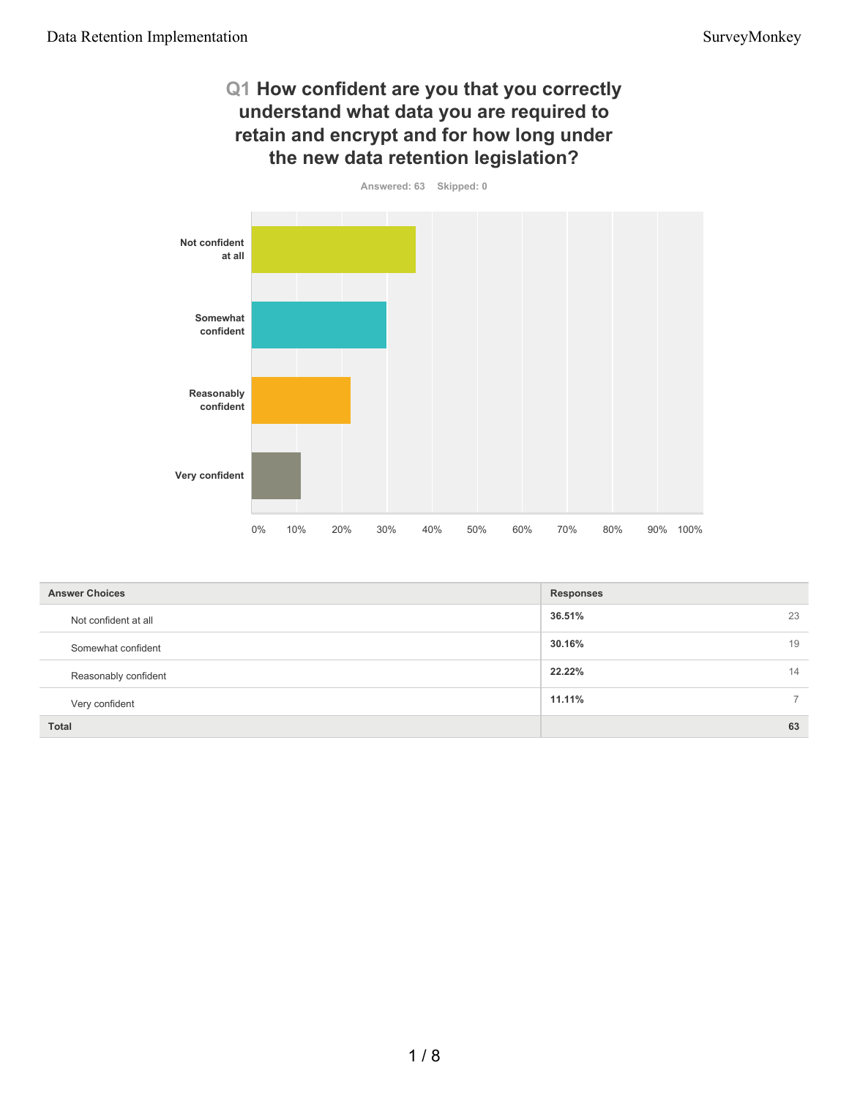# **Q1 How confident are you that you correctly understand what data you are required to retain and encrypt and for how long under the new data retention legislation?**



| <b>Answer Choices</b> | <b>Responses</b> |                |
|-----------------------|------------------|----------------|
| Not confident at all  | 36.51%           | 23             |
| Somewhat confident    | 30.16%           | 19             |
| Reasonably confident  | 22.22%           | 14             |
| Very confident        | 11.11%           | $\overline{7}$ |
| <b>Total</b>          |                  | 63             |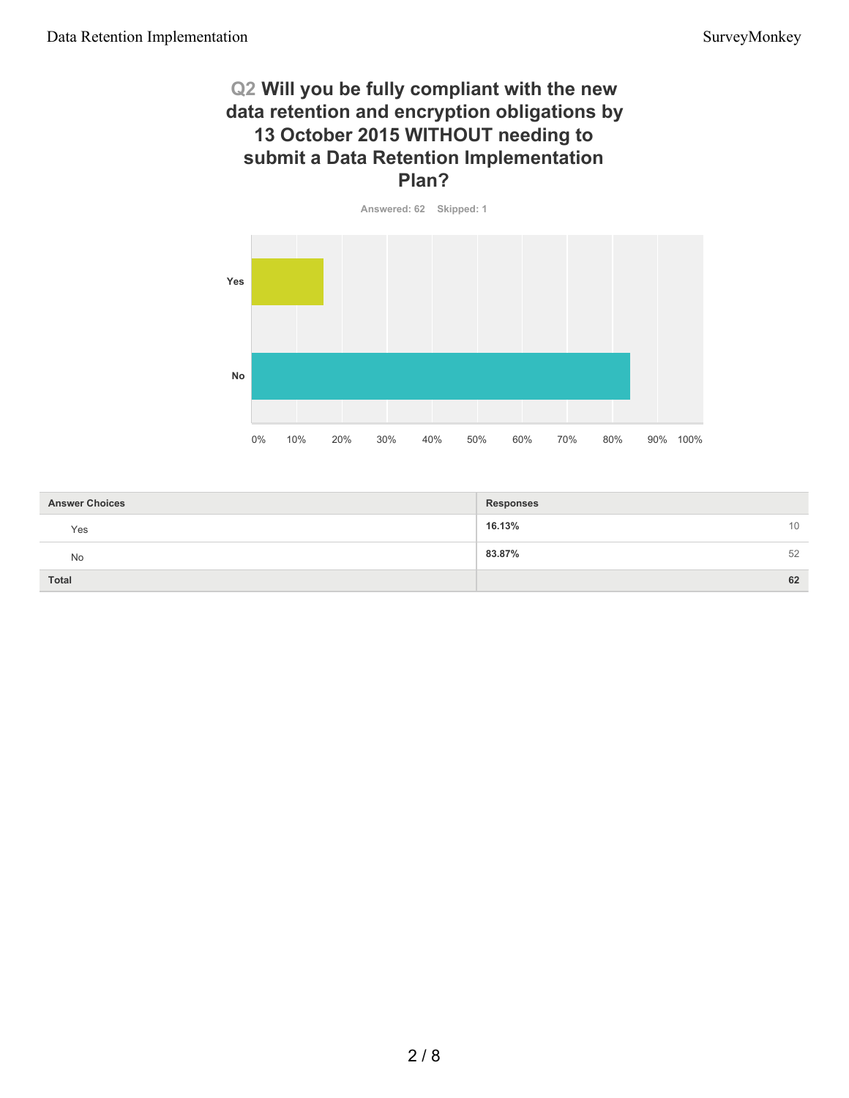# **Q2 Will you be fully compliant with the new data retention and encryption obligations by 13 October 2015 WITHOUT needing to submit a Data Retention Implementation Plan?**



| <b>Answer Choices</b> | <b>Responses</b> |
|-----------------------|------------------|
| Yes                   | 16.13%<br>10     |
| No                    | 83.87%<br>52     |
| Total                 | 62               |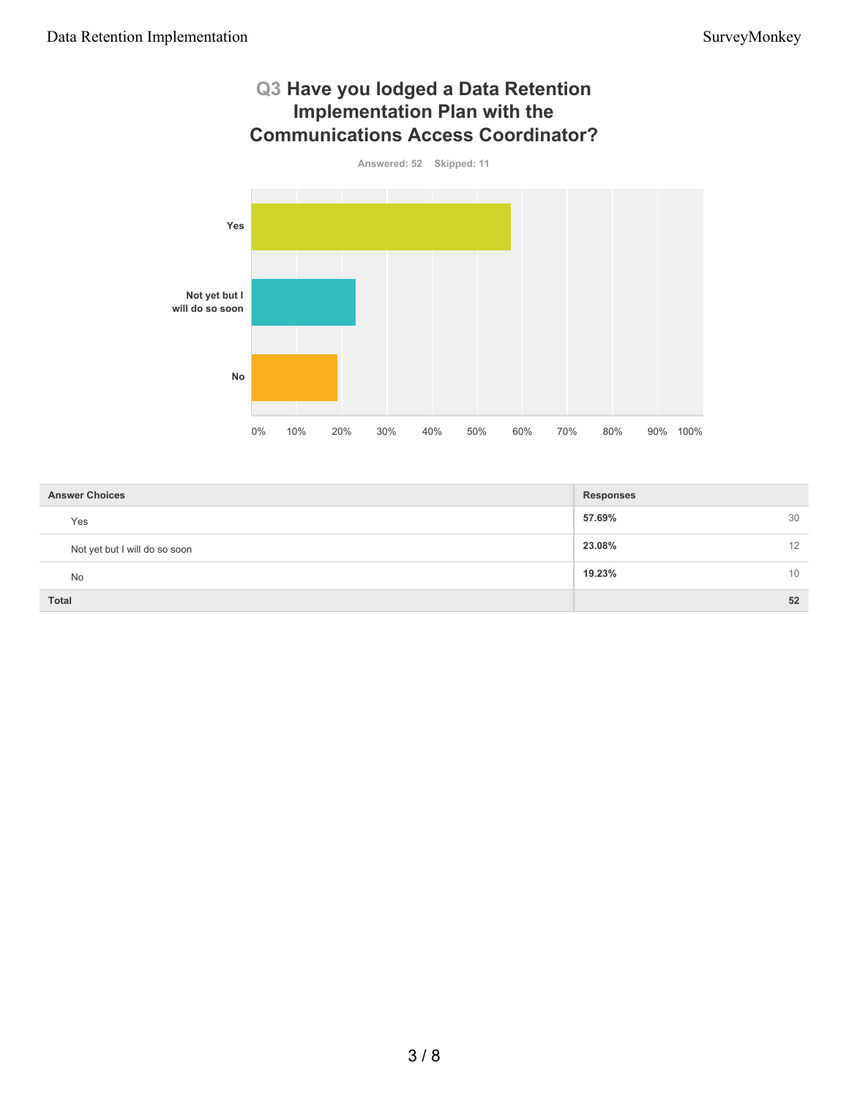

| <b>Answer Choices</b>         | <b>Responses</b> |    |
|-------------------------------|------------------|----|
| Yes                           | 57.69%           | 30 |
| Not yet but I will do so soon | 23.08%           | 12 |
| <b>No</b>                     | 19.23%           | 10 |
| Total                         |                  | 52 |

#### 3 / 8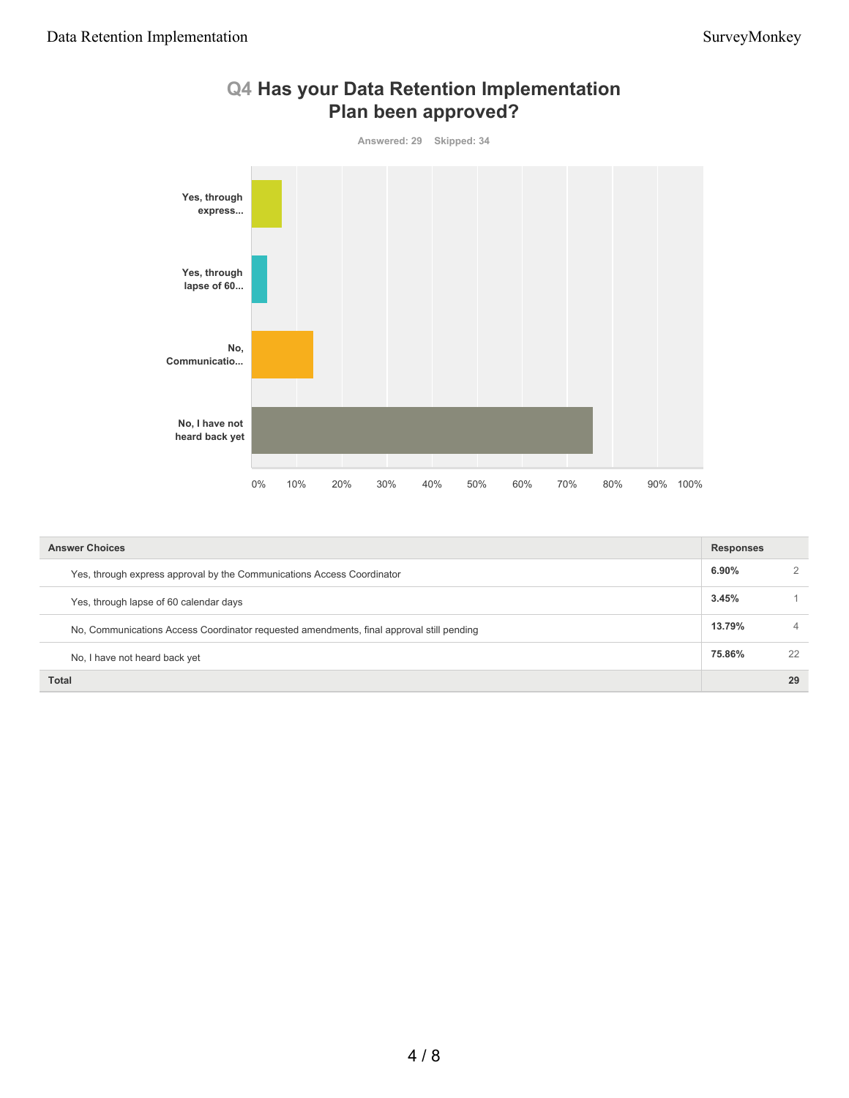

| Q4 Has your Data Retention Implementation |
|-------------------------------------------|
| Plan been approved?                       |

| <b>Answer Choices</b>                                                                    | <b>Responses</b> |    |
|------------------------------------------------------------------------------------------|------------------|----|
| Yes, through express approval by the Communications Access Coordinator                   | $6.90\%$         |    |
| Yes, through lapse of 60 calendar days                                                   | 3.45%            |    |
| No, Communications Access Coordinator requested amendments, final approval still pending | 13.79%           |    |
| No, I have not heard back yet                                                            | 75.86%           | 22 |
| <b>Total</b>                                                                             |                  | 29 |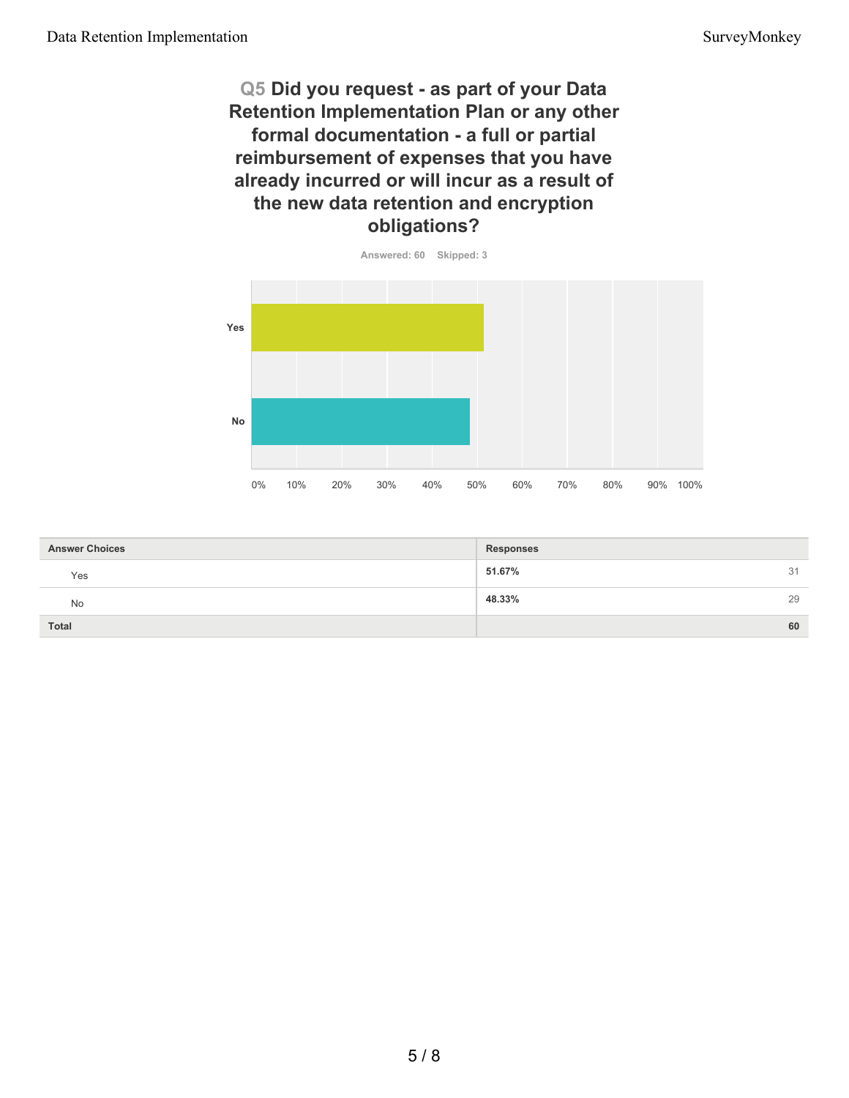# **Q5 Did you request - as part of your Data Retention Implementation Plan or any other formal documentation - a full or partial reimbursement of expenses that you have already incurred or will incur as a result of the new data retention and encryption obligations?**



| <b>Answer Choices</b> | <b>Responses</b> |    |
|-----------------------|------------------|----|
| Yes                   | 51.67%           | 31 |
| No                    | 48.33%           | 29 |
| <b>Total</b>          |                  | 60 |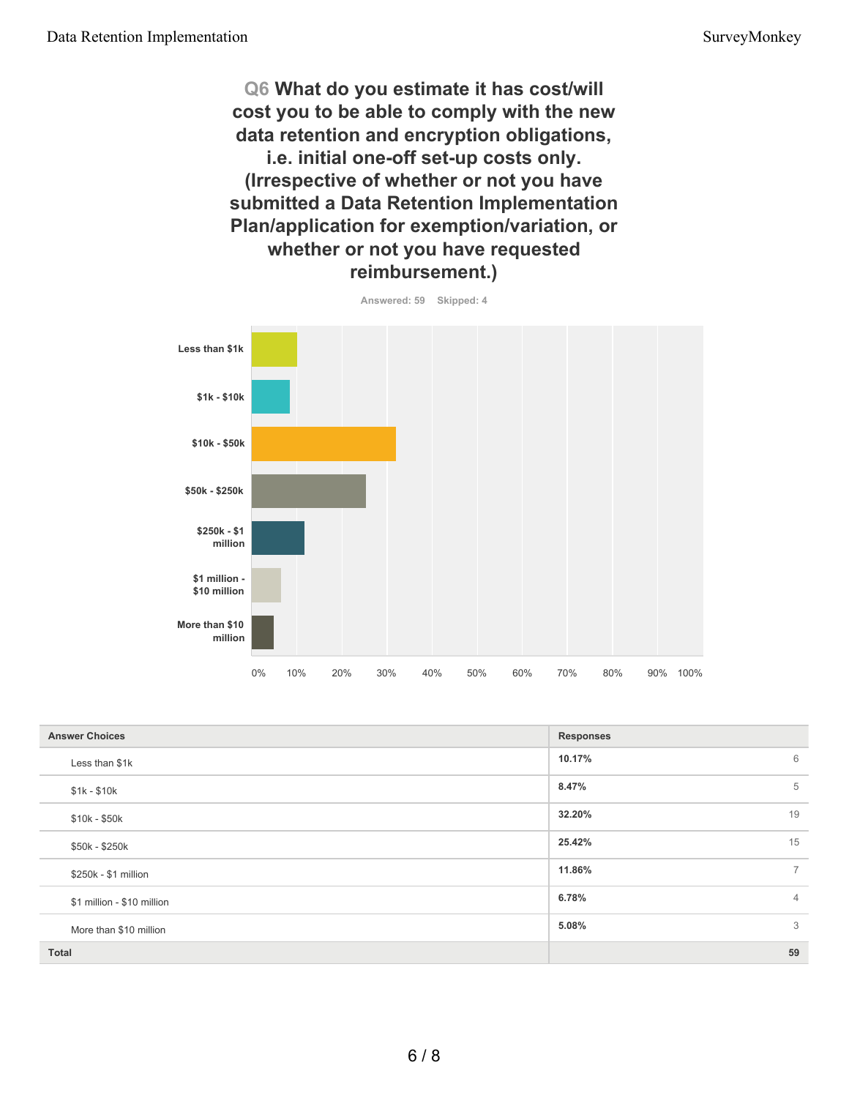**Q6 What do you estimate it has cost/will cost you to be able to comply with the new data retention and encryption obligations, i.e. initial one-off set-up costs only. (Irrespective of whether or not you have submitted a Data Retention Implementation Plan/application for exemption/variation, or whether or not you have requested reimbursement.)**



| <b>Answer Choices</b>      | <b>Responses</b>         |
|----------------------------|--------------------------|
| Less than \$1k             | 6<br>10.17%              |
| $$1k - $10k$               | 8.47%<br>5               |
| $$10k - $50k$              | 32.20%<br>19             |
| \$50k - \$250k             | 25.42%<br>15             |
| \$250k - \$1 million       | $\overline{7}$<br>11.86% |
| \$1 million - \$10 million | 6.78%<br>$\overline{4}$  |
| More than \$10 million     | 3<br>5.08%               |
| <b>Total</b>               | 59                       |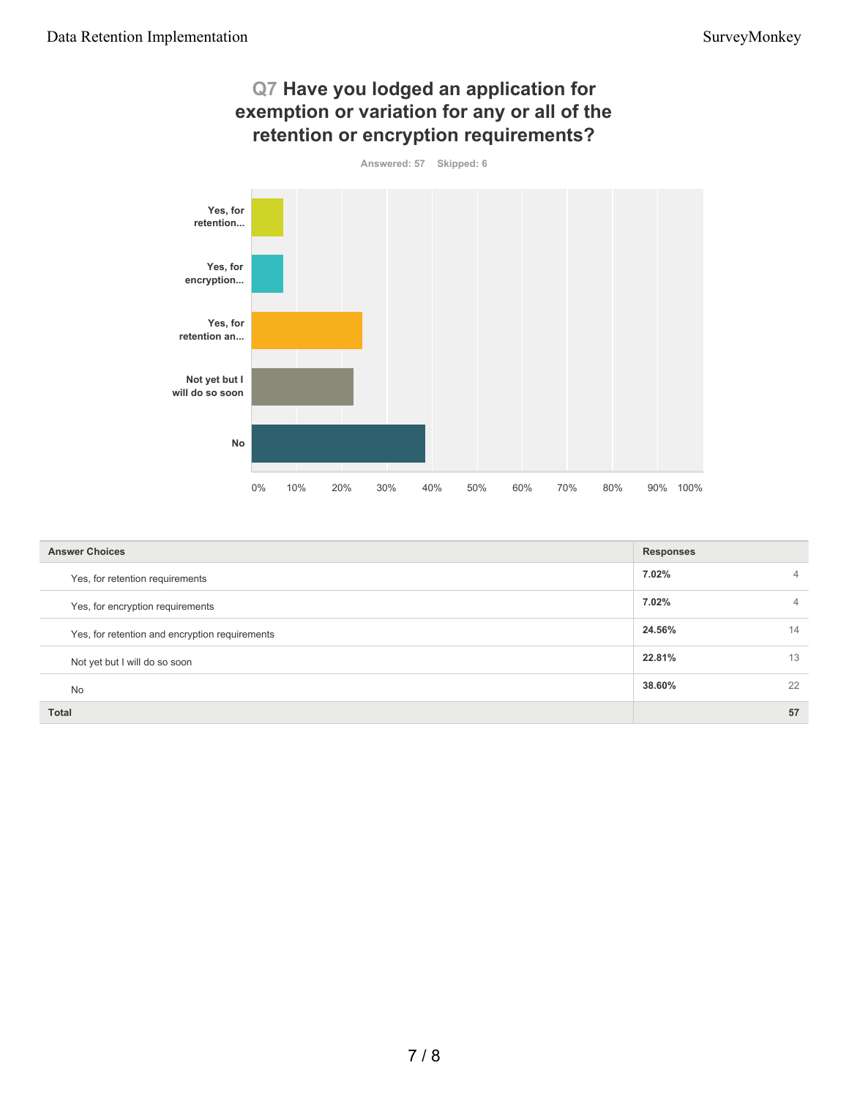

| <b>Answer Choices</b>                          | <b>Responses</b> |                |
|------------------------------------------------|------------------|----------------|
| Yes, for retention requirements                | 7.02%            | $\overline{4}$ |
| Yes, for encryption requirements               | 7.02%            | 4              |
| Yes, for retention and encryption requirements | 24.56%           | 14             |
| Not yet but I will do so soon                  | 22.81%           | 13             |
| <b>No</b>                                      | 38.60%           | 22             |
| <b>Total</b>                                   |                  | 57             |